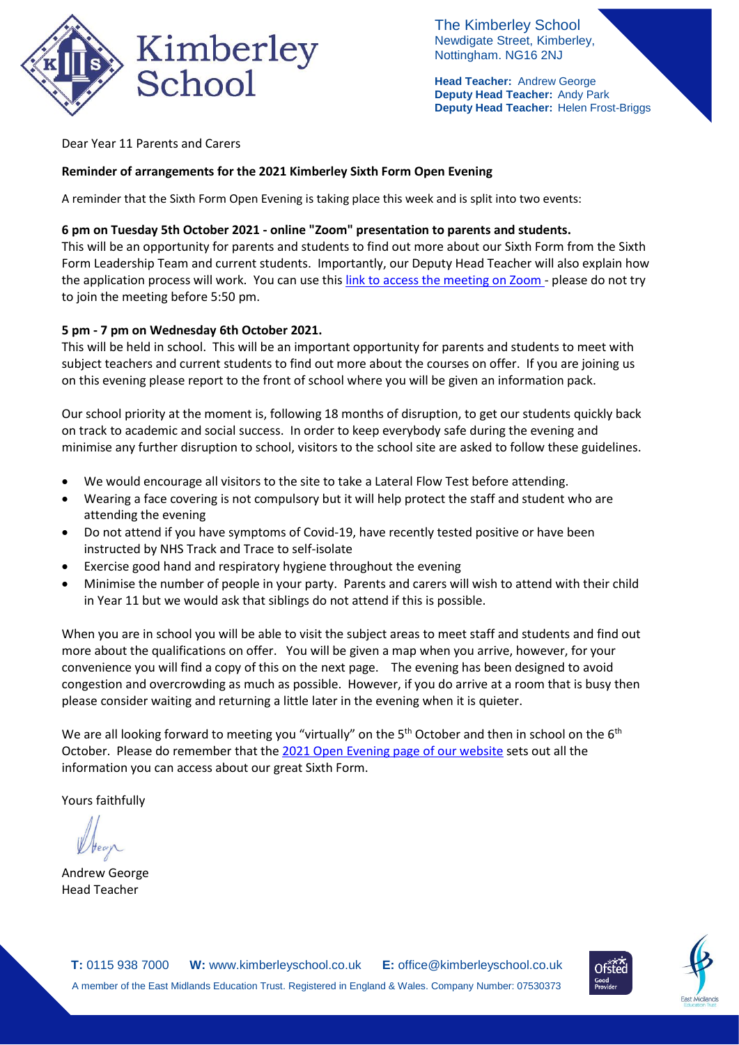

The Kimberley School Newdigate Street, Kimberley, Nottingham. NG16 2NJ

**Head Teacher:** Andrew George **Deputy Head Teacher:** Andy Park **Deputy Head Teacher:** Helen Frost-Briggs

Dear Year 11 Parents and Carers

## **Reminder of arrangements for the 2021 Kimberley Sixth Form Open Evening**

A reminder that the Sixth Form Open Evening is taking place this week and is split into two events:

## **6 pm on Tuesday 5th October 2021 - online "Zoom" presentation to parents and students.**

This will be an opportunity for parents and students to find out more about our Sixth Form from the Sixth Form Leadership Team and current students. Importantly, our Deputy Head Teacher will also explain how the application process will work. You can use this link to access the [meeting](https://us06web.zoom.us/j/89423048763?pwd=VDEzMEk5Yzh0TTdzOGxDM3NBbGdNQT09) on Zoom - please do not try to join the meeting before 5:50 pm.

## **5 pm - 7 pm on Wednesday 6th October 2021.**

This will be held in school. This will be an important opportunity for parents and students to meet with subject teachers and current students to find out more about the courses on offer. If you are joining us on this evening please report to the front of school where you will be given an information pack.

Our school priority at the moment is, following 18 months of disruption, to get our students quickly back on track to academic and social success. In order to keep everybody safe during the evening and minimise any further disruption to school, visitors to the school site are asked to follow these guidelines.

- We would encourage all visitors to the site to take a Lateral Flow Test before attending.
- Wearing a face covering is not compulsory but it will help protect the staff and student who are attending the evening
- Do not attend if you have symptoms of Covid-19, have recently tested positive or have been instructed by NHS Track and Trace to self-isolate
- Exercise good hand and respiratory hygiene throughout the evening
- Minimise the number of people in your party. Parents and carers will wish to attend with their child in Year 11 but we would ask that siblings do not attend if this is possible.

When you are in school you will be able to visit the subject areas to meet staff and students and find out more about the qualifications on offer. You will be given a map when you arrive, however, for your convenience you will find a copy of this on the next page. The evening has been designed to avoid congestion and overcrowding as much as possible. However, if you do arrive at a room that is busy then please consider waiting and returning a little later in the evening when it is quieter.

We are all looking forward to meeting you "virtually" on the 5<sup>th</sup> October and then in school on the 6<sup>th</sup> October. Please do remember that th[e 2021 Open Evening page of our website](https://www.kimberleyschool.co.uk/2021sixthformopenevening) sets out all the information you can access about our great Sixth Form.

Yours faithfully

Andrew George Head Teacher